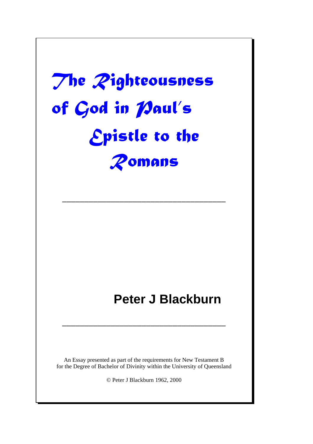# The Zighteousness of God in Maul's **Epistle to the** Romans

–––––––––––––––––––––––––––––––––––––

## **Peter J Blackburn**

An Essay presented as part of the requirements for New Testament B for the Degree of Bachelor of Divinity within the University of Queensland

–––––––––––––––––––––––––––––––––––––

© Peter J Blackburn 1962, 2000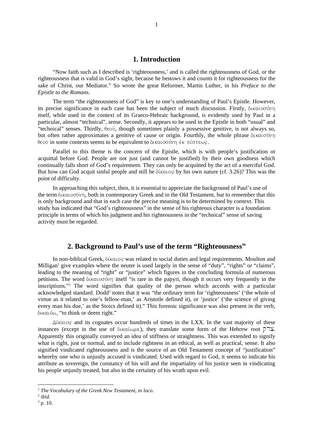#### **1. Introduction**

"Now faith such as I described is 'righteousness,' and is called the righteousness of God, or the righteousness that is valid in God's sight, because he bestows it and counts it for righteousness for the sake of Christ, our Mediator." So wrote the great Reformer, Martin Luther, in his *Preface to the Epistle to the Romans*.

The term "the righteousness of God" is key to one's understanding of Paul's Epistle. However, its precise significance in each case has been the subject of much discussion. Firstly,  $\delta$ tkatoov $\nu$ itself, while used in the context of its Graeco-Hebraic background, is evidently used by Paul in a particular, almost "technical", sense. Secondly, it appears to be used in the Epistle in both "usual" and "technical" senses. Thirdly,  $\theta \in \mathcal{O}$ , though sometimes plainly a possessive genitive, is not always so, but often rather approximates a genitive of cause or origin. Fourthly, the whole phrase  $\delta$ ικαισύνη θεοῦ in some contexts seems to be equivalent to δικαιοσύνη ἐκ πίστεως.

Parallel to this theme is the concern of the Epistle, which is with people's justification or acquittal before God. People are not just (and cannot be justified) by their own goodness which continually falls short of God's requirement. They can only be acquitted by the act of a merciful God. But how can God acquit sinful people and still be  $\delta$ *katos* by his own nature (cf. 3.26)? This was the point of difficulty.

In approaching this subject, then, it is essential to appreciate the background of Paul's use of the term δικαιοσύνη, both in contemporary Greek and in the Old Testament, but to remember that this is only background and that in each case the precise meaning is to be determined by context. This study has indicated that "God's righteousness" in the sense of his righteous character is a foundation principle in terms of which his judgment and his righteousness in the "technical" sense of saving activity must be regarded.

#### **2. Background to Paul's use of the term "Righteousness"**

In non-biblical Greek, δίκαιος was related to social duties and legal requirements. Moulton and Milligan <sup>1</sup> give examples where the neuter is used largely in the sense of "duty", "rights" or "claims", leading to the meaning of "right" or "justice" which figures in the concluding formula of numerous petitions. The word δικαιοσύνη itself "is rare in the papyri, though it occurs very frequently in the inscriptions." <sup>2</sup> The word signifies that quality of the person which accords with a particular acknowledged standard. Dodd<sup>3</sup> notes that it was "the ordinary term for 'righteousness' ('the whole of virtue as it related to one's fellow-man,' as Aristotle defined it), or 'justice' ('the science of giving every man his due,' as the Stoics defined it)." This forensic significance was also present in the verb, δικαιόω, "to think or deem right."

 $\Delta$ *(Katos and its cognates occur hundreds of times in the LXX. In the vast majority of these* instances (except in the use of  $\delta$ ικαίωμα), they translate some form of the Hebrew root  $\beta$ IX. Apparently this originally conveyed an idea of stiffness or straightness. This was extended to signify what is right, just or normal, and to include rightness in an ethical, as well as practical, sense. It also signified vindicated righteousness and is the source of an Old Testament concept of "justification" whereby one who is unjustly accused is vindicated. Used with regard to God, it seems to indicate his attribute as sovereign, the constancy of his will and the impartiality of his justice seen in vindicating his people unjustly treated, but also in the certainty of his wrath upon evil.

<sup>1</sup> *The Vocabulary of the Greek New Testament*, *in loco*.

<sup>2</sup> *ibid*.

 $3$  p. 10.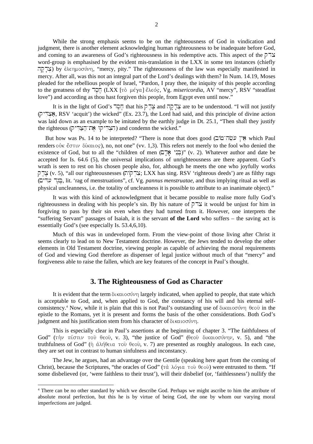While the strong emphasis seems to be on the righteousness of God in vindication and judgment, there is another element acknowledging human righteousness to be inadequate before God, and coming to an awareness of God's righteousness in his redemptive acts. This aspect of the  $\overline{P}^{\dagger}$ word-group is emphasised by the evident mis-translation in the LXX in some ten instances (chiefly צדקה) by  $\epsilon \lambda \epsilon \eta \mu o \sigma \dot{\nu} \eta$ , "mercy, pity." The righteousness of the law was especially manifested in mercy. After all, was this not an integral part of the Lord's dealings with them? In Num. 14.19, Moses pleaded for the rebellious people of Israel, "Pardon, I pray thee, the iniquity of this people according to the greatness of thy **TOΠ** (LXX [τὸ μέγα] ἔλεός, Vg. *misericordia*, AV "mercy", RSV "steadfast love") and according as thou hast forgiven this people, from Egypt even until now."

It is in the light of God's  $\Box \Box \Box$  that his  $\Box \Box \Box$  and  $\Box \Box \Box \Box$  are to be understood. "I will not justify  $($  $\triangleright$   $\preceq$  RSV 'acquit') the wicked" (Ex. 23.7), the Lord had said, and this principle of divine action was laid down as an example to be imitated by the earthly judge in Dt. 25.1, "Then shall they justify the righteous (הצדיקו את־הצדיק) and condemn the wicked."

But how was Ps. 14 to be interpreted? "There is none that does good (שְׂה־מוֹב) which Paul renders οὐκ ἔστιν δίκαιος), no, not one" (vv. 1,3). This refers not merely to the fool who denied the existence of God, but to all the "children of men  $(\square \square)$ " (v. 2). Whatever author and date be accepted for Is. 64.6 (5), the universal implications of unrighteousness are there apparent. God's wrath is seen to rest on his chosen people also, for, although he meets the one who joyfully works צְדִקוֹת; LXX has sing. RSV 'righteous deeds') are as filthy rags (ÏÐÑÒ Ó¡ÔÖÕS×ØÙØ , lit. 'rag of menstruations", cf. Vg. *pannus menstruatae*, and thus implying ritual as well as physical uncleanness, i.e. the totality of uncleanness it is possible to attribute to an inanimate object)."

It was with this kind of acknowledgment that it became possible to realise more fully God's righteousness in dealing with his people's sin. By his nature of  $\overline{P}$  it would be unjust for him in forgiving to pass by their sin even when they had turned from it. However, one interprets the "suffering Servant" passages of Isaiah, it is the servant **of the Lord** who suffers – the saving act is essentially God's (see especially Is. 53.4,6,10).

Much of this was in undeveloped form. From the view-point of those living after Christ it seems clearly to lead on to New Testament doctrine. However, the Jews tended to develop the other elements in Old Testament doctrine, viewing people as capable of achieving the moral requirements of God and viewing God therefore as dispenser of legal justice without much of that "mercy" and forgiveness able to raise the fallen, which are key features of the concept in Paul's thought.

#### **3. The Righteousness of God as Character**

It is evident that the term  $\delta$ ικαιοσύνη largely indicated, when applied to people, that state which is acceptable to God, and, when applied to God, the constancy of his will and his eternal selfconsistency.<sup>4</sup> Now, while it is plain that this is not Paul's outstanding use of δικαιοσύνη θεοῦ in the epistle to the Romans, yet it is present and forms the basis of the other considerations. Both God's judgment and his justification stem from his character of  $\delta$ ικαιοσύνη.

This is especially clear in Paul's assertions at the beginning of chapter 3. "The faithfulness of God" (τήν πίστιν τοῦ θεοῦ, v. 3), "the justice of God" (θεοῦ δικαιοσύνην, v. 5), and "the truthfulness of God" (ή άλήθεια τοῦ θεοῦ, v. 7) are presented as roughly analogous. In each case, they are set out in contrast to human sinfulness and inconstancy.

The Jew, he argues, had an advantage over the Gentile (speaking here apart from the coming of Christ), because the Scriptures, "the oracles of God" ( $\tau \dot{\alpha}$  λόγια τοῦ θεοῦ) were entrusted to them. "If some disbelieved (or, 'were faithless to their trust'), will their disbelief (or, 'faithlessness') nullify the

<sup>4</sup> There can be no other standard by which we describe God. Perhaps we might ascribe to him the attribute of absolute moral perfection, but this he is by virtue of being God, the one by whom our varying moral imperfections are judged.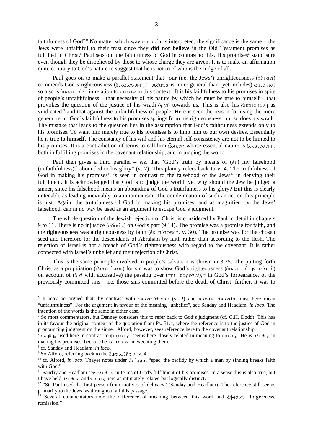faithfulness of God?" No matter which way  $\text{d}\pi$  is interpreted, the significance is the same – the Jews were unfaithful to their trust since they **did not believe** in the Old Testament promises as fulfilled in Christ.<sup>5</sup> Paul sets out the faithfulness of God in contrast to this. His promises<sup>6</sup> stand sure even though they be disbelieved by those to whose charge they are given. It is to make an affirmation quite contrary to God's nature to suggest that he is not true<sup>7</sup> who is the Judge of all.

Paul goes on to make a parallel statement that "our (i.e. the Jews') unrighteousness  $(d\delta\iota\kappa'\alpha)$ commends God's righteousness (δικαιοσύνη)." 'Αδικία is more general than (yet includes) άπιστία; so also is  $\delta$ ικαιοσύνη in relation to  $\pi$ ίστις in this context.<sup>8</sup> It is his faithfulness to his promises in spite of people's unfaithfulness – that necessity of his nature by which he must be true to himself – that provokes the question of the justice of his wrath  $\partial$ o $\gamma$  towards us. This is also his  $\partial$ katoo $\gamma$  as vindicated,<sup>9</sup> and that against the unfaithfulness of people. Here is seen the reason for using the more general term. God's faithfulness to his promises springs from his righteousness, but so does his wrath. The mistake that leads to the question lies in the assumption that God's faithfulness extends only to his promises. To want him merely true to his promises is to limit him to our own desires. Essentially he is true **to himself**. The constancy of his will and his eternal self-consistency are not to be limited to his promises. It is a contradiction of terms to call him  $\tilde{a} \delta \tilde{\alpha}$  whose essential nature is  $\delta \tilde{\alpha} \tilde{\alpha}$ both in fulfilling promises in the covenant relationship, and in judging the world.

Paul then gives a third parallel – *viz*, that "God's truth by means of  $(\partial \nu)$  my falsehood (unfaithfulness)<sup>10</sup> abounded to his glory" (v. 7). This plainly refers back to v. 4. The truthfulness of God in making his promises<sup>11</sup> is seen in contrast to the falsehood of the Jews<sup>12</sup> in denying their fulfilment. It is acknowledged that God is to judge the world, yet why should the Jew be judged a sinner, since his falsehood means an abounding of God's truthfulness to his glory? But this is clearly untenable as leading inevitably to antinomianism. The condemnation of such an act on this principle is just. Again, the truthfulness of God in making his promises, and as magnified by the Jews' falsehood, can in no way be used as an argument to escape God's judgment.

The whole question of the Jewish rejection of Christ is considered by Paul in detail in chapters 9 to 11. There is no injustice ( $d\delta\mu$ <sup>i</sup>a) on God's part (9.14). The promise was a promise for faith, and the righteousness was a righteousness by faith ( $\epsilon \kappa \pi$   $\sigma \tau \epsilon \omega s$ , v. 30). The promise was for the chosen seed and therefore for the descendants of Abraham by faith rather than according to the flesh. The rejection of Israel is not a breach of God's righteousness with regard to the covenant. It is rather connected with Israel's unbelief and their rejection of Christ.

This is the same principle involved in people's salvation is shown in 3.25. The putting forth Christ as a propitiation (ιλαστήριον) for sin was to show God's righteousness (δικαιοσύνης αὐτοῦ) on account of (διά with accusative) the passing over  $(\tau \dot{\gamma} \nu \pi \dot{\alpha} \rho \epsilon \sigma \nu)$ ,<sup>13</sup> in God's forbearance, of the previously committed sins – i.e. those sins committed before the death of Christ; further, it was to

<sup>&</sup>lt;sup>5</sup> It may be argued that, by contrast with  $\epsilon \pi$ ιστεύθησαν (v. 2) and πίστιν, άπιστία must here mean "unfaithfulness". For the argument in favour of the meaning "unbelief", see Sanday and Headlam, *in loco*. The intention of the words is the same in either case.

<sup>&</sup>lt;sup>6</sup> So most commentators, but Denney considers this to refer back to God's judgment (cf. C.H. Dodd). This has in its favour the original context of the quotation from Ps. 51.4, where the reference is to the justice of God in pronouncing judgment on the sinner. Alford, however, sees reference here to the covenant relationship.

 $^7$  dληθής used here in contrast to ψεύστης, seems here closely related in meaning to πίστος. He is dληθής in making his promises, because he is  $\pi\omega\sigma\gamma$  in executing them.

<sup>8</sup> cf. Sanday and Headlam, *in loco*.

<sup>&</sup>lt;sup>9</sup> So Alford, referring back to the δικαιωθής of v. 4.

<sup>&</sup>lt;sup>10</sup> cf. Alford, *in loco*. Thayer notes under  $\psi \in \partial \mathcal{O}_{\mu}$ , "spec. the perfidy by which a man by sinning breaks faith with God."

<sup>&</sup>lt;sup>11</sup> Sanday and Headlam see  $\alpha\lambda\eta\theta\epsilon\iota\alpha$  in terms of God's fulfilment of his promises. In a sense this is also true, but I have held  $\hat{\alpha} \lambda \hat{\beta} \in \alpha$  and  $\hat{\beta} \in \beta$  here as intimately related but logically distinct.

<sup>&</sup>lt;sup>12</sup> "St. Paul used the first person from motives of delicacy" (Sanday and Headlam). The reference still seems primarily to the Jews, as throughout all this passage.

<sup>&</sup>lt;sup>13</sup> Several commentators note the difference of meaning between this word and  $\ddot{\alpha}$ beous, "forgiveness, remission."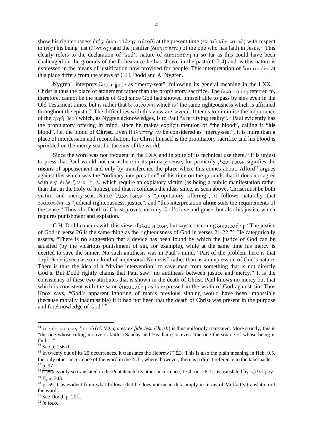show his righteousness ( $\tau$  $\hat{\eta}$  $\varsigma$  δικαι $\sigma$ σύνης αυ $\tau$ ού) at the present time ( $\epsilon$ ν  $\tau$ ω νῦν καιρω) with respect to (είς) his being just (δίκαιος) and the justifier (δικαιοῦντα) of the one who has faith in Jesus.<sup>14</sup> This clearly refers to the declaration of God's nature of  $\delta$ <sub>K</sub>alo<sub> $\sigma$ </sub> in so far as this could have been challenged on the grounds of the forbearance he has shown in the past (cf. 2.4) and as this nature is expressed in the means of justification now provided for people. This interpretation of  $\delta$ Katoovvn at this place differs from the views of C.H. Dodd and A. Nygren.

Nygren<sup>15</sup> interprets *i*λαστήριον as "mercy-seat", following its general meaning in the LXX.<sup>16</sup> Christ is thus the place of atonement rather than the propitiatory sacrifice. The  $\delta$ <sub>Kαιοσ</sub>ύνη referred to, therefore, cannot be the justice of God since God had showed himself able to pass by sins even in the Old Testament times, but is rather that  $\delta x \alpha \sigma \sigma \gamma$  which is "the same righteousness which is affirmed throughout the epistle." The difficulties with this view are several. It tends to minimise the importance of the όργή θεοῦ which, as Nygren acknowledges, is to Paul "a terrifying reality".<sup>17</sup> Paul evidently has the propitiatory offering in mind, since he makes explicit mention of "the blood", calling it "**his** blood", i.e. the blood of **Christ**. Even if ιλαστήριον be considered as "mercy-seat", it is more than a place of intercession and reconciliation, for Christ himself is the propitiatory sacrifice and his blood is sprinkled on the mercy-seat for the sins of the world.

Since the word was not frequent in the LXX and in spite of its technical use there,<sup>18</sup> it is unjust to press that Paul would not use it here in its primary sense, for primarily  $i\lambda a \sigma \tau \eta \rho \tau \omega$  signifies the **means** of appeasement and only by transference the **place** where this comes about. Alford <sup>19</sup> argues against this which was the "ordinary interpretation" of his time on the grounds that it does not agree with  $\epsilon$ *is*  $\epsilon$ <sup>*i*</sup> $\delta$  $\epsilon$ *i* $\epsilon$ *i* $\upsilon$   $\kappa$ *.*  $\tau$ *.*  $\lambda$ *.* which require an expiatory victim (as being a public manifestation rather than that in the Holy of holies), and that it confuses the ideas since, as seen above, Christ must be both victim and mercy-seat. Since *i* λαστήριον is "propitiatory offering", it follows naturally that δικαιοσύνη is "judicial righteousness, justice", and "this interpretation **alone** suits the requirements of the sense." Thus, the Death of Christ proves not only God's love and grace, but also his justice which requires punishment and expiation.

C.H. Dodd concurs with this view of *i* λαστήριον, but says concerning δικαιοσύνη, "The justice of God in verse 26 is the same thing as the righteousness of God in verses 21-22."<sup>20</sup> He categorically asserts, "There is **no** suggestion that a device has been found by which the justice of God can be satisfied (by the vicarious punishment of sin, for example), while at the same time his mercy is exerted to save the sinner. No such antithesis was in Paul's mind." Part of the problem here is that  $\phi$ ργή θεοῦ is seen as some kind of impersonal Nemesis<sup>21</sup> rather than as an expression of God's nature. There is thus the idea of a "divine intervention" to save man from something that is not directly God's. But Dodd rightly claims that Paul saw "no antithesis between justice and mercy." It is the consistency of these two attributes that is shown in the death of Christ. Paul knows no mercy but that which is consistent with the same  $\delta$ K $\alpha$ <sub>1</sub> $\sigma$ <sup>*i*</sup> $\nu$ <sup>n</sup> as is expressed in the wrath of God against sin. Thus Knox says, "God's apparent ignoring of man's previous sinning would have been impossible (because morally inadmissible) if it had not been that the death of Christ was present in the purpose and foreknowledge of God."<sup>22</sup>

 $\overline{a}$ 

22 *in loco.*

<sup>&</sup>lt;sup>14</sup> τὸν ἐκ πίστεως 'lησοῦ (cf. Vg. *qui est ex fide Jesu Christi*) is thus uniformly translated. More strictly, this is "the one whose ruling motive is faith" (Sanday and Headlam) or even "the one the source of whose being is faith…"

<sup>&</sup>lt;sup>15</sup> See p. 156 ff.

<sup>16</sup> In twenty out of its 25 occurrences, it translates the Hebrew  $\vec{p}$   $\vec{p}$ . This is also the plain meaning in Heb. 9.5, the only other occurrence of the word in the N.T., where, however, there is a direct reference to the tabernacle.  $17$  p. 97.

<sup>&</sup>lt;sup>18</sup> is only so translated in the Pentateuch; its other occurrence, 1 Chron. 28.11, is translated by  $\epsilon \xi \iota \lambda a \sigma \mu \delta s$ . <sup>19</sup> II, p. 343.

 $20$  p. 59. It is evident from what follows that he does not mean this simply in terms of Moffatt's translation of the words.

 $21$  See Dodd, p. 20ff.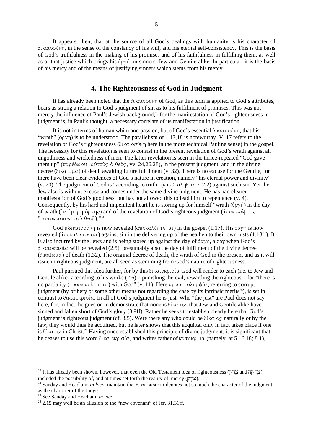It appears, then, that at the source of all God's dealings with humanity is his character of  $\delta$ ικαιοσύνη, in the sense of the constancy of his will, and his eternal self-consistency. This is the basis of God's truthfulness in the making of his promises and of his faithfulness in fulfilling them, as well as of that justice which brings his  $\phi_0 \gamma \gamma$  on sinners, Jew and Gentile alike. In particular, it is the basis of his mercy and of the means of justifying sinners which stems from his mercy.

#### **4. The Righteousness of God in Judgment**

It has already been noted that the δικαιοσύνη of God, as this term is applied to God's attributes, bears as strong a relation to God's judgment of sin as to his fulfilment of promises. This was not merely the influence of Paul's Jewish background,<sup>23</sup> for the manifestation of God's righteousness in judgment is, in Paul's thought, a necessary correlate of its manifestation in justification.

It is not in terms of human whim and passion, but of God's essential  $\delta$ katoovi $\nu$ , that his "wrath" ( $\phi$ o $\gamma$  $\dot{\gamma}$ ) is to be understood. The parallelism of 1.17,18 is noteworthy. V. 17 refers to the revelation of God's righteousness (δικαιοσύνη here in the more technical Pauline sense) in the gospel. The necessity for this revelation is seen to consist in the present revelation of God's wrath against all ungodliness and wickedness of men. The latter revelation is seen in the thrice-repeated "God gave them up" (παρέδωκεν αὐτοὺς ὁ θεὸς, vv. 24,26,28), in the present judgment, and in the divine decree (δικαίωμα) of death awaiting future fulfilment (v. 32). There is no excuse for the Gentile, for there have been clear evidences of God's nature in creation, namely "his eternal power and divinity" (v. 20). The judgment of God is "according to truth" ( $\kappa a \tau \dot{a}$   $\dot{a} \lambda \dot{\eta} \theta \epsilon \iota a \nu$ , 2.2) against such sin. Yet the Jew also is without excuse and comes under the same divine judgment. He has had clearer manifestation of God's goodness, but has not allowed this to lead him to repentance (v. 4). Consequently, by his hard and impenitent heart he is storing up for himself "wrath  $(\phi \rho \gamma \gamma)$  in the day of wrath (ἐν ἡμέρη ὀργῆς) and of the revelation of God's righteous judgment (ἀποκαλύψεως δικαιοκρισίας τοῦ θεοῦ)."<sup>24</sup>

God's δικαιοσύνη is now revealed (άποκαλύπτεται) in the gospel (1.17). His όργή is now revealed (άποκαλύπτεται) against sin in the delivering up of the heathen to their own lusts (1.18ff). It is also incurred by the Jews and is being stored up against the day of  $\phi$ o $\gamma$ <sup> $\eta$ </sup>, a day when God's δικαιοκρισία will be revealed (2.5), presumably also the day of fulfilment of the divine decree (δικαίωμα) of death (1.32). The original decree of death, the wrath of God in the present and as it will issue in righteous judgment, are all seen as stemming from God's nature of righteousness.

Paul pursued this idea further, for by this δικαιοκρισία God will render to each (i.e. to Jew and Gentile alike) according to his works  $(2.6)$  – punishing the evil, rewarding the righteous – for "there is no partiality (προσωπολημψία) with God" (v. 11). Here προσωπολημψία, referring to corrupt judgment (by bribery or some other means not regarding the case by its intrinsic merits<sup>25</sup>), is set in contrast to δικαιοκρισία. In all of God's judgment he is just. Who "the just" are Paul does not say here, for, in fact, he goes on to demonstrate that none is  $\delta$ *katos*, that Jew and Gentile alike have sinned and fallen short of God's glory (3.9ff). Rather he seeks to establish clearly here that God's judgment is righteous judgment (cf. 3.5). Were there any who could be  $\delta$  ( $\kappa a \log n$  aturally or by the law, they would thus be acquitted, but he later shows that this acquittal only in fact takes place if one is Stratos in Christ.<sup>26</sup> Having once established this principle of divine judgment, it is significant that he ceases to use this word δικαιοκρισία, and writes rather of κατάκριμα (namely, at 5.16,18; 8.1),

<sup>&</sup>lt;sup>23</sup> It has already been shown, however, that even the Old Testament idea of righteousness (צְדָקָה and  $\frac{1}{2}$ ) included the possibility of, and at times set forth the reality of, mercy  $(27\text{X})$ .

 $24$  Sanday and Headlam, *in loco*, maintain that  $\delta x$ u okpedia denotes not so much the character of the judgment as the character of the Judge.

<sup>25</sup> See Sanday and Headlam, *in loco*.

 $26$  2.15 may well be an allusion to the "new covenant" of Jer. 31.31ff.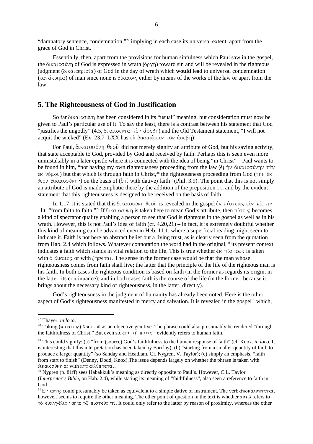"damnatory sentence, condemnation,"<sup>27</sup> implying in each case its universal extent, apart from the grace of God in Christ.

Essentially, then, apart from the provisions for human sinfulness which Paul saw in the gospel, the δικαιοσύνη of God is expressed in wrath (όργή) toward sin and will be revealed in the righteous judgment (δικαιοκρισία) of God in the day of wrath which would lead to universal condemnation  $(\kappa a \tau \dot{\alpha} \kappa \rho \mu a)$  of man since none is  $\delta(\kappa a \log, \theta)$  either by means of the works of the law or apart from the law.

#### **5. The Righteousness of God in Justification**

So far δικαιοσύνη has been considered in its "usual" meaning, but consideration must now be given to Paul's particular use of it. To say the least, there is a contrast between his statement that God "justifies the ungodly" (4.5,  $\delta$ ικαιοῢντα τὸν ἀσεβή) and the Old Testament statement, "I will not acquit the wicked" (Ex. 23.7. LXX has οὐ δικαιώσεις τὸν ἀσεβῆ)!

For Paul,  $\delta$ <sup>k</sup> $\alpha$ <sub>i</sub>  $\delta$ <sup>0</sup> $\gamma$ <sup>0</sup>  $\sigma$ <sup>3</sup> did not merely signify an attribute of God, but his saving activity, that state acceptable to God, provided by God and received by faith. Perhaps this is seen even more unmistakably in a later epistle where it is connected with the idea of being "in Christ" – Paul wants to be found in him, "not having my own righteousness proceeding from the law ( $\epsilon \mu$ ήν δικαιοσύνην τὴν  $\epsilon$ <sup>k</sup>  $\nu$ <sup>2</sup> $\mu$ <sup>2</sup> but that which is through faith in Christ,<sup>28</sup> the righteousness proceeding from God ( $\tau \dot{\gamma} \nu \dot{\epsilon}$ θεοῦ δικαιοσύνην) on the basis of (ἐπί with dative) faith" (Phil. 3.9). The point that this is not simply an attribute of God is made emphatic there by the addition of the preposition  $\epsilon_{\rm K}$ , and by the evident statement that this righteousness is designed to be received on the basis of faith.

In 1.17, it is stated that this δικαιοσύνη θεοῦ is revealed in the gospel ἐκ πίστεως εἰς πίστιν  $-$ lit. "from faith to faith." $^{29}$  If δικαιοσύνη is taken here to mean God's attribute, then πίστις becomes a kind of spectator quality enabling a person to see that God is righteous in the gospel as well as in his wrath. However, this is not Paul's idea of faith (cf. 4.20,21) – in fact, it is extremely doubtful whether this kind of meaning can be advanced even in Heb. 11.1, where a superficial reading might seem to indicate it. Faith is not here an abstract belief but a living trust, as is clearly seen from the quotation from Hab. 2.4 which follows. Whatever connotation the word had in the original,<sup>30</sup> its present context indicates a faith which stands in vital relation to the life. This is true whether  $\epsilon \kappa \pi$ ίστ $\epsilon \omega$ ς is taken with  $\delta$   $\delta$  ( $\kappa a$  to  $\zeta$  or with  $\zeta \eta \sigma \in \tau a$ . The sense in the former case would be that the man whose righteousness comes from faith shall live; the latter that the principle of the life of the righteous man is his faith. In both cases the righteous condition is based on faith (in the former as regards its origin, in the latter, its continuance); and in both cases faith is the course of the life (in the former, because it brings about the necessary kind of righteousness, in the latter, directly).

God's righteousness in the judgment of humanity has already been noted. Here is the other aspect of God's righteousness manifested in mercy and salvation. It is revealed in the gospel<sup>31</sup> which,

<sup>27</sup> Thayer, *in loco*.

<sup>&</sup>lt;sup>28</sup> Taking (πίστεως) Χριστοῦ as an objective genitive. The phrase could also presumably be rendered "through the faithfulness of Christ." But even so,  $\dot{\epsilon}$   $\pi$ )  $\pi$  i  $\sigma$  $\tau$  $\epsilon$  evidently refers to human faith.

<sup>29</sup> This could signify: (a) "from (source) God's faithfulness to the human response of faith" (cf. Knox. *in loco*. It is interesting that this interpretation has been taken by Barclay); (b) "starting from a smaller quantity of faith to produce a larger quantity" (so Sanday and Headlam. Cf. Nygren, V. Taylor); (c) simply an emphasis, "faith from start to finish" (Denny, Dodd, Knox).The issue depends largely on whether the phrase is taken with δικαιοσύνη **or with** ἀποκαλύπτεται.

<sup>&</sup>lt;sup>30</sup> Nygren (p. 81ff) sees Habakkuk's meaning as directly opposite to Paul's. However, C.L. Taylor (*Interpreter's Bible*, on Hab. 2.4), while stating its meaning of "faithfulness", also seen a reference to faith in God.

<sup>&</sup>lt;sup>31</sup> Eν αὐτῷ could presumably be taken as equivalent to a simple dative of instrument. The verb ἀποκαλύπτεται, however, seems to require the other meaning. The other point of question in the text is whether  $\alpha\dot{\beta}\tau\dot{\beta}$  refers to τὸ εὐαγγέλιον or to τῷ πιστεύοντι. It could only refer to the latter by reason of proximity, whereas the other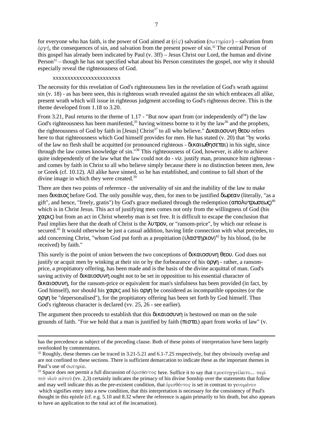7

for everyone who has faith, is the power of God aimed at  $(\epsilon \dot{\epsilon})$  salvation  $(\sigma \omega \tau \eta \rho)(\alpha \nu)$  – salvation from  $\phi$ ργή, the consequences of sin, and salvation from the present power of sin.<sup>32</sup> The central Person of this gospel has already been indicated by Paul (v. 3ff) – Jesus Christ our Lord, the human and divine Person $33$  – though he has not specified what about his Person constitutes the gospel, nor why it should especially reveal the righteousness of God.

#### xxxxxxxxxxxxxxxxxxxxxxx

 $\overline{a}$ 

The necessity for this revelation of God's righteousness lies in the revelation of God's wrath against sin (v. 18) - as has been seen, this is righteous wrath revealed against the sin which embraces all alike, present wrath which will issue in righteous judgment according to God's righteous decree. This is the theme developed from 1.18 to 3.20.

From 3.21, Paul returns to the theme of 1.17 - "But now apart from (or independently of  $34$ ) the law God's righteousness has been manifested,<sup>35</sup> having witness borne to it by the law<sup>36</sup> and the prophets, the righteousness of God by faith in [Jesus] Christ<sup>37</sup> to all who believe." Δικαιοσυνη θεου refers here to that righteousness which God himself provides for men. He has stated (v. 20) that "by works of the law no flesh shall be acquitted (or pronounced righteous - δικαιωθησεται) in his sight, since through the law comes knowledge of sin."<sup>38</sup> This righteousness of God, however, is able to achieve quite independently of the law what the law could not do - *viz.* justify man, pronounce him righteous and comes by faith in Christ to all who believe simply because there is no distinction beteen men, Jew or Greek (cf. 10.12). All alike have sinned, so he has established, and continue to fall short of the divine image in which they were created.<sup>39</sup>

There are then two points of reference - the universality of sin and the inability of the law to make men δικαιος before God. The only possible way, then, for men to be justified δωρεαν (literally, "as a gift", and hence, "freely, gratis") by God's grace mediated through the redemption (απολυτρωσεως)<sup>40</sup> which is in Christ Jesus. This act of justifying men comes not only from the willingness of God (his χαρις) but from an act in Christ whereby man is set free. It is difficult to escape the conclusion that Paul implies here that the death of Christ is the λυτρον, or "ransom-price", by which our release is secured.<sup>41</sup> It would otherwise be just a casual addition, having little connection with what precedes, to add concerning Christ, "whom God put forth as a propitiation  $(iλαστηριον)<sup>42</sup> by his blood, (to be$ received) by faith."

This surely is the point of union between the two conceptions of δικαιοσυνη θεου. God does not justify or acquit men by winking at their sin or by the forbearance of his  $\gamma$  - rather, a ransomprice, a propitiatory offering, has been made and is the basis of the divine acquittal of man. God's saving activity of δικαιοσυνη ought not to be set in opposition to his essential character of δικαιοσυνη, for the ransom-price or equivalent for man's sinfulness has been provided (in fact, by God himself), nor should his  $\gamma \alpha \rho$  and his op  $\gamma \rho$  be considered as incompatible opposites (or the οργη be "depersonalised"), for the propitiatory offering has been set forth by God himself. Thus God's righteous character is declared (vv. 25, 26 - see earlier).

The argument then proceeds to establish that this δικαιοσυνη is bestowed on man on the sole grounds of faith. "For we hold that a man is justified by faith (πιστει) apart from works of law" (v.

has the precedence as subject of the preceding clause. Both of these points of interpretation have been largely overlooked by commentators.

<sup>&</sup>lt;sup>32</sup> Roughly, these themes can be traced in 3.21-5.21 and 6.1-7.25 respectively, but they obviously overlap and are not confined to these sections. There is sufficient demarcation to indicate these as the important themes in Paul's use of  $\sigma\omega\tau\eta\rho\alpha$ .

<sup>&</sup>lt;sup>33</sup> Space does not permit a full discussion of  $\delta \rho \sigma \sigma \phi$  here. Suffice it to say that  $\pi \rho \sigma \sigma \sigma \sigma \sigma$  has  $\pi \epsilon \rho \sigma$ τοῦ υἱοῦ αὐτοῦ (vv. 2,3) certainly indicates the primacy of his divine Sonship over the statements that follow and may well indicate this as the pre-existent condition, that  $\delta\rho\sigma\theta\acute{\epsilon}\nu\tau$ os is set in contrast to  $\gamma\epsilon\nu o\mu\acute{\epsilon}\nu o\nu$  which signifies entry into a new condition, that this interpretation is necessary for the consistency of Paul's thought in this epistle (cf. e.g. 5.10 and 8.32 where the reference is again primarily to his death, but also appears to have an application to the total act of the incarnation).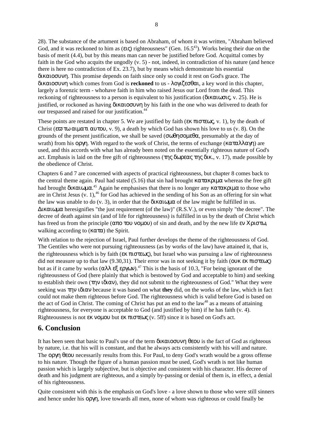28). The substance of the artument is based on Abraham, of whom it was written, "Abraham believed God, and it was reckoned to him as (εις) righteousness" (Gen.  $16.5^{43}$ ). Works being their due on the basis of merit (4.4), but by this means man can never be justified before God. Acquittal comes by faith in the God who acquits the ungodly (v. 5) - not, indeed, in contradiction of his nature (and hence there is here no contradiction of Ex. 23.7), but by means which demonstrate his essential δικαιοσυνη. This promise depends on faith since only so could it rest on God's grace. The δικαιοσυνη which comes from God is **reckoned** to us - λογιζεσθαι, a key word in this chapter, largely a forenzic term - whohave faith in him who raised Jesus our Lord from the dead. This reckoning of righteousness to a person is equivalent to his justification (δικαιωσις, v. 25). He is justified, or rockoned as having δικαιοσυνη by his faith in the one who was delivered to death for our trespassed and raised for our justification.<sup>44</sup>

These points are restated in chapter 5. We are justified by faith ( $\epsilon \kappa \pi \sigma \tau \epsilon \omega \zeta$ , v. 1), by the death of Christ (ε $\bar{\omega}$  τω αιματι αυτου, v. 9), a death by which God has shown his love to us (v. 8). On the grounds of the present justification, we shall be saved (σωθησομεθα, presumably at the day of wrath) from his οργη. With regard to the work of Christ, the terms of exchange (καταλλαγη) are used, and this accords with what has already been noted on the essentially righteous nature of God's act. Emphasis is laid on the free gift of righteousness (της δωρεας της δικ., v. 17), made possible by the obedience of Christ.

Chapters 6 and 7 are concerned with aspects of practical righteousness, but chapter 8 comes back to the central theme again. Paul had stated (5.16) that sin had brought κατακριμα whereas the free gift had brought δικαιωμα.<sup>45</sup> Again he emphasises that there is no longer any κατακριμα to those who are in Christ Jesus  $(v, 1)$ ,  $46$  for God has achieved in the sending of his Son as an offering for sin what the law was unable to do (v. 3), in order that the δικαιωμα of the law might be fulfilled in us. ∆ικαιωµα heresignifies "the just requirement (of the law)" (R.S.V.), or even simply "the decree". The decree of death against sin (and of life for righteousness) is fulfilled in us by the death of Christ which has freed us from the principle (απο του νομου) of sin and death, and by the new life εν Χριστω, walking according to ( $\kappa \alpha \tau \alpha$ ) the Spirit.

With relation to the rejection of Israel, Paul further develops the theme of the righteousness of God. The Gentiles who were not pursuing righteousness (as by works of the law) have attained it, that is, the righteousness which is by faith ( $\epsilon \kappa \pi \sigma \tau \epsilon \omega \zeta$ ), but Israel who was pursuing a law of righteousness did not measure up to that law (9.30,31). Their error was in not seeking it by faith (ουκ εκ πιστεως) but as if it came by works (αλλ εξ εργων).<sup>47</sup> This is the basis of 10.3, "For being ignorant of the righteousness of God (here plainly that which is bestowed by God and acceptable to him) and seeking to establish their own (την ιδιαν), they did not submit to the righteousness of God." What they were seeking was την ιδιαν because it was based on what **they** did, on the works of the law, which in fact could not make them righteous before God. The righteousness which is valid before God is based on the act of God in Christ. The coming of Christ has put an end to the law<sup>48</sup> as a means of attaining righteousness, for everyone is acceptable to God (and justified by him) if he has faith (v. 4). Righteousness is not εκ νομου but εκ πιστεως (v. 5ff) since it is based on God's act.

### **6. Conclusion**

It has been seen that basic to Paul's use of the term δικαιοσυνη θεου is the fact of God as righteous by nature, i.e. that his will is constant, and that he always acts consistently with his will and nature. The οργη θεου necessarily results from this. For Paul, to deny God's wrath would be a gross offense to his nature. Though the figure of a human passion must be used, God's wrath is not like human passion which is largely subjective, but is objective and consistent with his character. His decree of death and his judgment are righteous, and a simply by-passing or denial of them is, in effect, a denial of his righteousness.

Quite consistent with this is the emphasis on God's love - a love shown to those who were still sinners and hence under his οργη, love towards all men, none of whom was righteous or could finally be